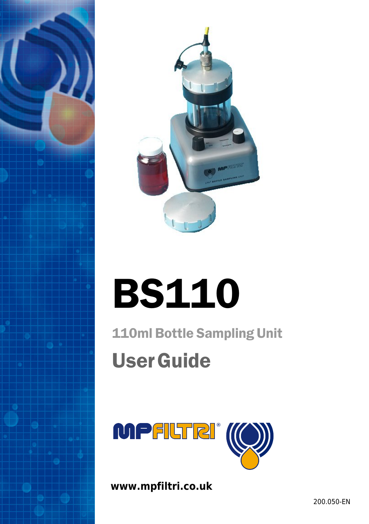



# BS110

110ml Bottle Sampling Unit UserGuide



**www.mpfiltri.co.uk**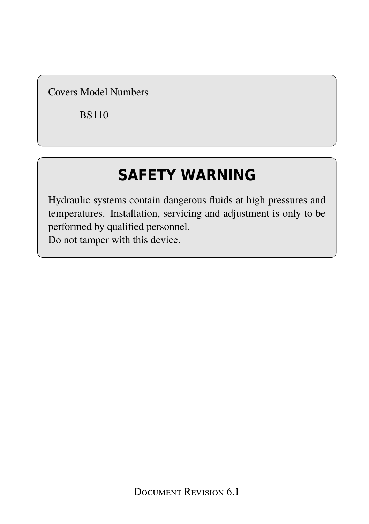Covers Model Numbers

BS110

### **SAFETY WARNING**

Hydraulic systems contain dangerous fluids at high pressures and temperatures. Installation, servicing and adjustment is only to be performed by qualified personnel.

Do not tamper with this device.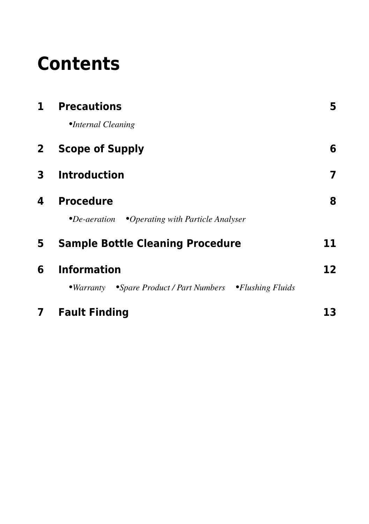### **Contents**

| $\mathbf{1}$ | <b>Precautions</b>                                               | 5  |
|--------------|------------------------------------------------------------------|----|
|              | •Internal Cleaning                                               |    |
| $\mathbf{2}$ | <b>Scope of Supply</b>                                           | 6  |
| 3            | <b>Introduction</b>                                              | 7  |
| 4            | <b>Procedure</b>                                                 | 8  |
|              | $\bullet$ De-aeration $\bullet$ Operating with Particle Analyser |    |
| 5            | <b>Sample Bottle Cleaning Procedure</b>                          | 11 |
| 6            | <b>Information</b>                                               | 12 |
|              | •Warranty •Spare Product / Part Numbers •Flushing Fluids         |    |
| 7            | <b>Fault Finding</b>                                             | 13 |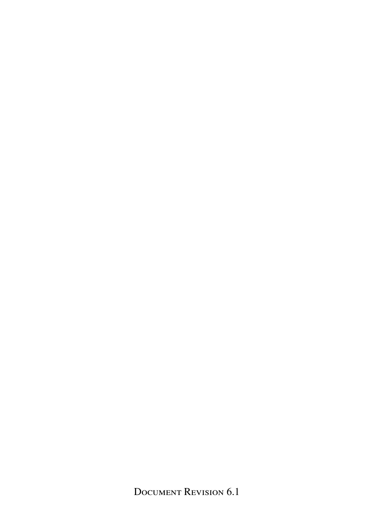Document Revision 6.1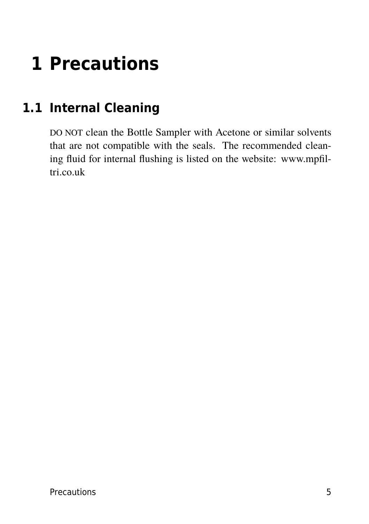### <span id="page-4-0"></span>**1 Precautions**

#### **1.1 Internal Cleaning**

DO NOT clean the Bottle Sampler with Acetone or similar solvents that are not compatible with the seals. The recommended cleaning fluid for internal flushing is listed on the website: www.mpfiltri.co.uk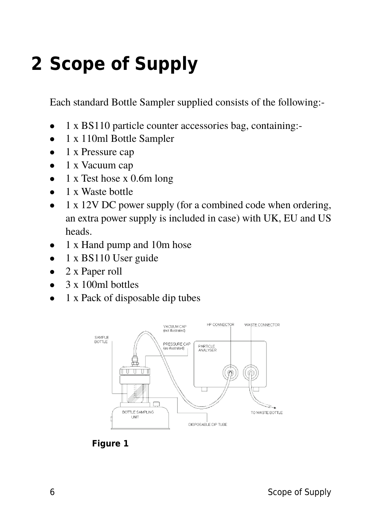### <span id="page-5-0"></span>**2 Scope of Supply**

Each standard Bottle Sampler supplied consists of the following:-

- 1 x BS110 particle counter accessories bag, containing:-
- 1 x 110ml Bottle Sampler
- 1 x Pressure cap
- 1 x Vacuum cap
- 1 x Test hose x 0.6m long
- 1 x Waste bottle
- 1 x 12V DC power supply (for a combined code when ordering, an extra power supply is included in case) with UK, EU and US heads.
- 1 x Hand pump and 10m hose
- 1 x BS110 User guide
- 2 x Paper roll
- $\bullet$  3 x 100ml bottles
- 1 x Pack of disposable dip tubes



**Figure 1**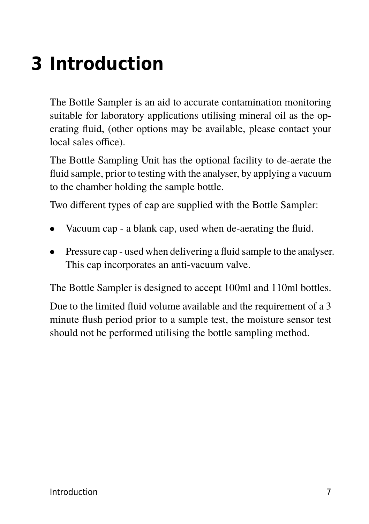### <span id="page-6-0"></span>**3 Introduction**

The Bottle Sampler is an aid to accurate contamination monitoring suitable for laboratory applications utilising mineral oil as the operating fluid, (other options may be available, please contact your local sales office).

The Bottle Sampling Unit has the optional facility to de-aerate the fluid sample, prior to testing with the analyser, by applying a vacuum to the chamber holding the sample bottle.

Two different types of cap are supplied with the Bottle Sampler:

- Vacuum cap a blank cap, used when de-aerating the fluid.
- Pressure cap used when delivering a fluid sample to the analyser. This cap incorporates an anti-vacuum valve.

The Bottle Sampler is designed to accept 100ml and 110ml bottles.

Due to the limited fluid volume available and the requirement of a 3 minute flush period prior to a sample test, the moisture sensor test should not be performed utilising the bottle sampling method.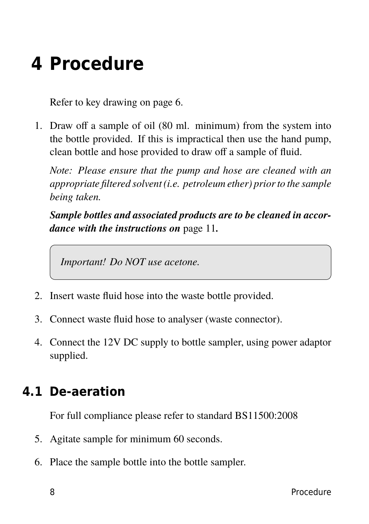### <span id="page-7-0"></span>**4 Procedure**

Refer to key drawing on [page 6](#page-5-0).

1. Draw off a sample of oil (80 ml. minimum) from the system into the bottle provided. If this is impractical then use the hand pump, clean bottle and hose provided to draw off a sample of fluid.

*Note: Please ensure that the pump and hose are cleaned with an appropriate filtered solvent (i.e. petroleum ether) prior to the sample being taken.*

*Sample bottles and associated products are to be cleaned in accordance with the instructions on* [page 11](#page-10-0)*.*

*Important! Do NOT use acetone.*

- 2. Insert waste fluid hose into the waste bottle provided.
- 3. Connect waste fluid hose to analyser (waste connector).
- 4. Connect the 12V DC supply to bottle sampler, using power adaptor supplied.

#### **4.1 De-aeration**

For full compliance please refer to standard BS11500:2008

- 5. Agitate sample for minimum 60 seconds.
- 6. Place the sample bottle into the bottle sampler.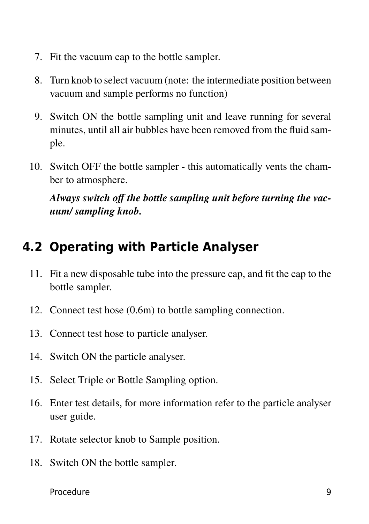- <span id="page-8-0"></span>7. Fit the vacuum cap to the bottle sampler.
- 8. Turn knob to select vacuum (note: the intermediate position between vacuum and sample performs no function)
- 9. Switch ON the bottle sampling unit and leave running for several minutes, until all air bubbles have been removed from the fluid sample.
- 10. Switch OFF the bottle sampler this automatically vents the chamber to atmosphere.

*Always switch off the bottle sampling unit before turning the vacuum/ sampling knob.*

#### **4.2 Operating with Particle Analyser**

- 11. Fit a new disposable tube into the pressure cap, and fit the cap to the bottle sampler.
- 12. Connect test hose (0.6m) to bottle sampling connection.
- 13. Connect test hose to particle analyser.
- 14. Switch ON the particle analyser.
- 15. Select Triple or Bottle Sampling option.
- 16. Enter test details, for more information refer to the particle analyser user guide.
- 17. Rotate selector knob to Sample position.
- 18. Switch ON the bottle sampler.

Procedure 9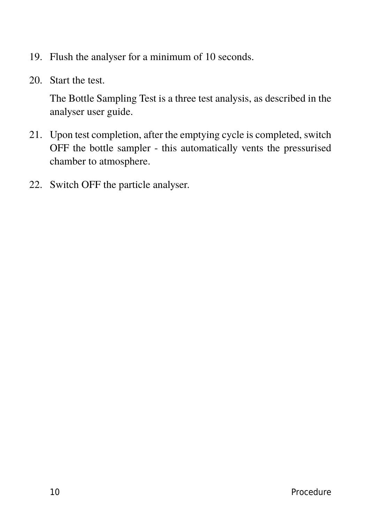- 19. Flush the analyser for a minimum of 10 seconds.
- 20. Start the test.

The Bottle Sampling Test is a three test analysis, as described in the analyser user guide.

- 21. Upon test completion, after the emptying cycle is completed, switch OFF the bottle sampler - this automatically vents the pressurised chamber to atmosphere.
- 22. Switch OFF the particle analyser.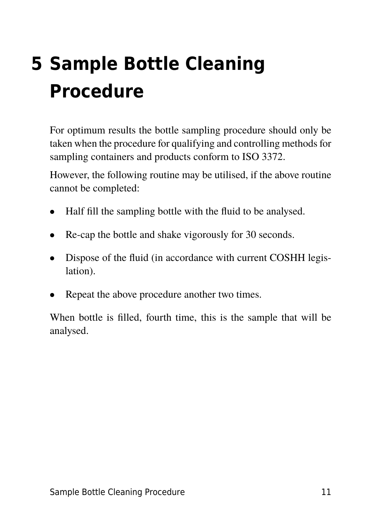## <span id="page-10-0"></span>**5 Sample Bottle Cleaning Procedure**

For optimum results the bottle sampling procedure should only be taken when the procedure for qualifying and controlling methods for sampling containers and products conform to ISO 3372.

However, the following routine may be utilised, if the above routine cannot be completed:

- Half fill the sampling bottle with the fluid to be analysed.
- Re-cap the bottle and shake vigorously for 30 seconds.
- Dispose of the fluid (in accordance with current COSHH legislation).
- Repeat the above procedure another two times.

When bottle is filled, fourth time, this is the sample that will be analysed.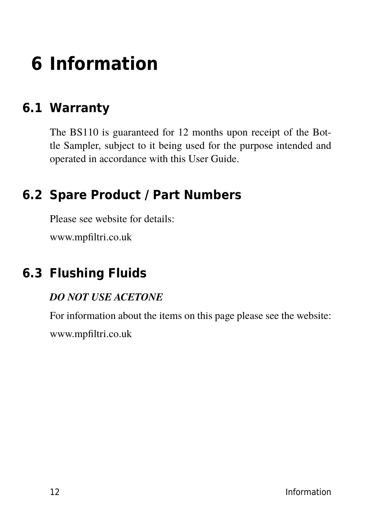### <span id="page-11-0"></span>**6 Information**

#### **6.1 Warranty**

The BS110 is guaranteed for 12 months upon receipt of the Bottle Sampler, subject to it being used for the purpose intended and operated in accordance with this User Guide.

#### **6.2 Spare Product / Part Numbers**

Please see website for details:

www.mpfiltri.co.uk

#### **6.3 Flushing Fluids**

#### *DO NOT USE ACETONE*

For information about the items on this page please see the website: www.mpfiltri.co.uk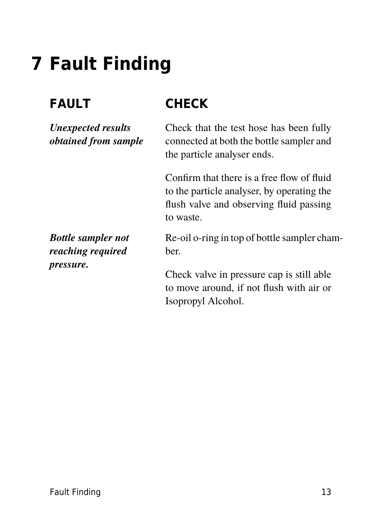### <span id="page-12-0"></span>**7 Fault Finding**

*Unexpected results obtained from sample*

### **FAULT CHECK**

Check that the test hose has been fully connected at both the bottle sampler and the particle analyser ends.

Confirm that there is a free flow of fluid to the particle analyser, by operating the flush valve and observing fluid passing to waste.

*Bottle sampler not reaching required pressure.*

Re-oil o-ring in top of bottle sampler chamber.

Check valve in pressure cap is still able to move around, if not flush with air or Isopropyl Alcohol.